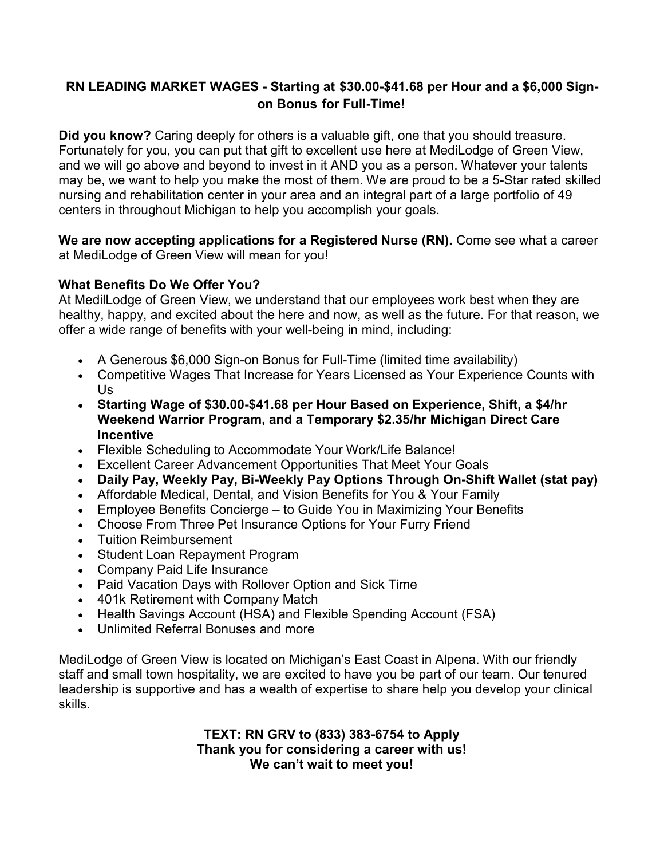# **RN LEADING MARKET WAGES - Starting at \$30.00-\$41.68 per Hour and a \$6,000 Signon Bonus for Full-Time!**

**Did you know?** Caring deeply for others is a valuable gift, one that you should treasure. Fortunately for you, you can put that gift to excellent use here at MediLodge of Green View, and we will go above and beyond to invest in it AND you as a person. Whatever your talents may be, we want to help you make the most of them. We are proud to be a 5-Star rated skilled nursing and rehabilitation center in your area and an integral part of a large portfolio of 49 centers in throughout Michigan to help you accomplish your goals.

**We are now accepting applications for a Registered Nurse (RN).** Come see what a career at MediLodge of Green View will mean for you!

## **What Benefits Do We Offer You?**

At MedilLodge of Green View, we understand that our employees work best when they are healthy, happy, and excited about the here and now, as well as the future. For that reason, we offer a wide range of benefits with your well-being in mind, including:

- A Generous \$6,000 Sign-on Bonus for Full-Time (limited time availability)
- Competitive Wages That Increase for Years Licensed as Your Experience Counts with Us
- **Starting Wage of \$30.00-\$41.68 per Hour Based on Experience, Shift, a \$4/hr Weekend Warrior Program, and a Temporary \$2.35/hr Michigan Direct Care Incentive**
- Flexible Scheduling to Accommodate Your Work/Life Balance!
- Excellent Career Advancement Opportunities That Meet Your Goals
- **Daily Pay, Weekly Pay, Bi-Weekly Pay Options Through On-Shift Wallet (stat pay)**
- Affordable Medical, Dental, and Vision Benefits for You & Your Family
- Employee Benefits Concierge to Guide You in Maximizing Your Benefits
- Choose From Three Pet Insurance Options for Your Furry Friend
- Tuition Reimbursement
- Student Loan Repayment Program
- Company Paid Life Insurance
- Paid Vacation Days with Rollover Option and Sick Time
- 401k Retirement with Company Match
- Health Savings Account (HSA) and Flexible Spending Account (FSA)
- Unlimited Referral Bonuses and more

MediLodge of Green View is located on Michigan's East Coast in Alpena. With our friendly staff and small town hospitality, we are excited to have you be part of our team. Our tenured leadership is supportive and has a wealth of expertise to share help you develop your clinical skills.

> **TEXT: RN GRV to (833) 383-6754 to Apply Thank you for considering a career with us! We can't wait to meet you!**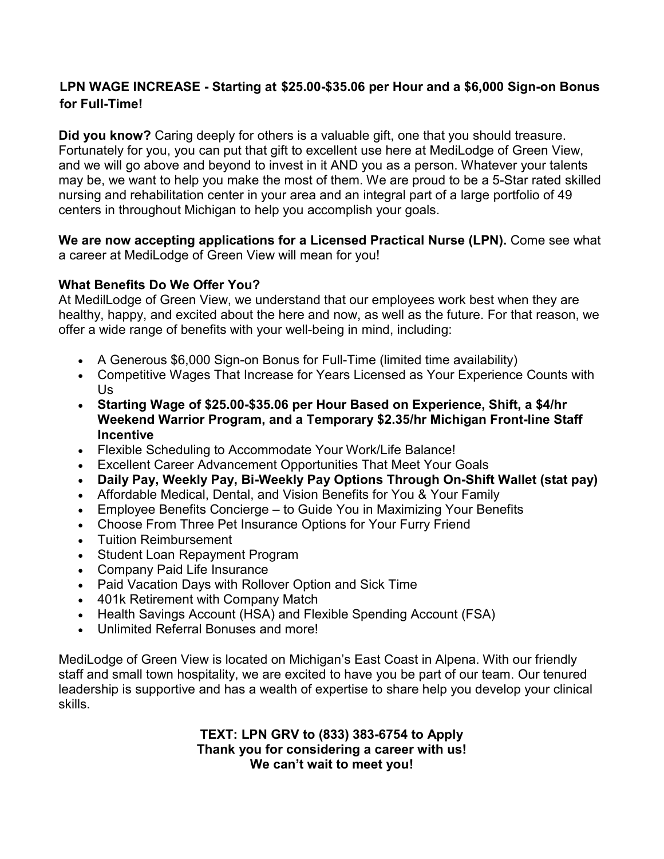# **LPN WAGE INCREASE - Starting at \$25.00-\$35.06 per Hour and a \$6,000 Sign-on Bonus for Full-Time!**

**Did you know?** Caring deeply for others is a valuable gift, one that you should treasure. Fortunately for you, you can put that gift to excellent use here at MediLodge of Green View, and we will go above and beyond to invest in it AND you as a person. Whatever your talents may be, we want to help you make the most of them. We are proud to be a 5-Star rated skilled nursing and rehabilitation center in your area and an integral part of a large portfolio of 49 centers in throughout Michigan to help you accomplish your goals.

**We are now accepting applications for a Licensed Practical Nurse (LPN).** Come see what a career at MediLodge of Green View will mean for you!

## **What Benefits Do We Offer You?**

At MedilLodge of Green View, we understand that our employees work best when they are healthy, happy, and excited about the here and now, as well as the future. For that reason, we offer a wide range of benefits with your well-being in mind, including:

- A Generous \$6,000 Sign-on Bonus for Full-Time (limited time availability)
- Competitive Wages That Increase for Years Licensed as Your Experience Counts with Us
- **Starting Wage of \$25.00-\$35.06 per Hour Based on Experience, Shift, a \$4/hr Weekend Warrior Program, and a Temporary \$2.35/hr Michigan Front-line Staff Incentive**
- Flexible Scheduling to Accommodate Your Work/Life Balance!
- Excellent Career Advancement Opportunities That Meet Your Goals
- **Daily Pay, Weekly Pay, Bi-Weekly Pay Options Through On-Shift Wallet (stat pay)**
- Affordable Medical, Dental, and Vision Benefits for You & Your Family
- Employee Benefits Concierge to Guide You in Maximizing Your Benefits
- Choose From Three Pet Insurance Options for Your Furry Friend
- Tuition Reimbursement
- Student Loan Repayment Program
- Company Paid Life Insurance
- Paid Vacation Days with Rollover Option and Sick Time
- 401k Retirement with Company Match
- Health Savings Account (HSA) and Flexible Spending Account (FSA)
- Unlimited Referral Bonuses and more!

MediLodge of Green View is located on Michigan's East Coast in Alpena. With our friendly staff and small town hospitality, we are excited to have you be part of our team. Our tenured leadership is supportive and has a wealth of expertise to share help you develop your clinical skills.

> **TEXT: LPN GRV to (833) 383-6754 to Apply Thank you for considering a career with us! We can't wait to meet you!**